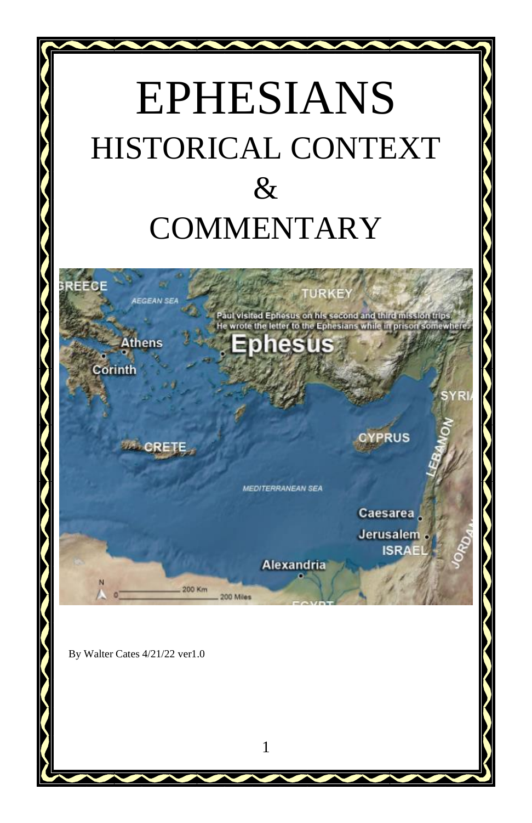# EPHESIANS HISTORICAL CONTEXT & **COMMENTARY**



**Alexandria** 

Caesarea Jerusalem **ISRAE** 

By Walter Cates 4/21/22 ver1.0

200 Km

200 Miles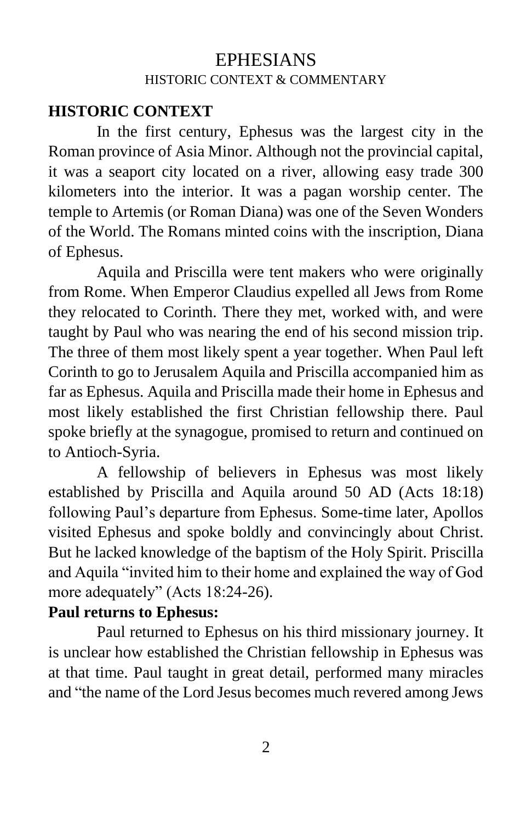# EPHESIANS HISTORIC CONTEXT & COMMENTARY

#### **HISTORIC CONTEXT**

In the first century, Ephesus was the largest city in the Roman province of Asia Minor. Although not the provincial capital, it was a seaport city located on a river, allowing easy trade 300 kilometers into the interior. It was a pagan worship center. The temple to Artemis (or Roman Diana) was one of the Seven Wonders of the World. The Romans minted coins with the inscription, Diana of Ephesus.

Aquila and Priscilla were tent makers who were originally from Rome. When Emperor Claudius expelled all Jews from Rome they relocated to Corinth. There they met, worked with, and were taught by Paul who was nearing the end of his second mission trip. The three of them most likely spent a year together. When Paul left Corinth to go to Jerusalem Aquila and Priscilla accompanied him as far as Ephesus. Aquila and Priscilla made their home in Ephesus and most likely established the first Christian fellowship there. Paul spoke briefly at the synagogue, promised to return and continued on to Antioch-Syria.

A fellowship of believers in Ephesus was most likely established by Priscilla and Aquila around 50 AD (Acts 18:18) following Paul's departure from Ephesus. Some-time later, Apollos visited Ephesus and spoke boldly and convincingly about Christ. But he lacked knowledge of the baptism of the Holy Spirit. Priscilla and Aquila "invited him to their home and explained the way of God more adequately" (Acts 18:24-26).

#### **Paul returns to Ephesus:**

Paul returned to Ephesus on his third missionary journey. It is unclear how established the Christian fellowship in Ephesus was at that time. Paul taught in great detail, performed many miracles and "the name of the Lord Jesus becomes much revered among Jews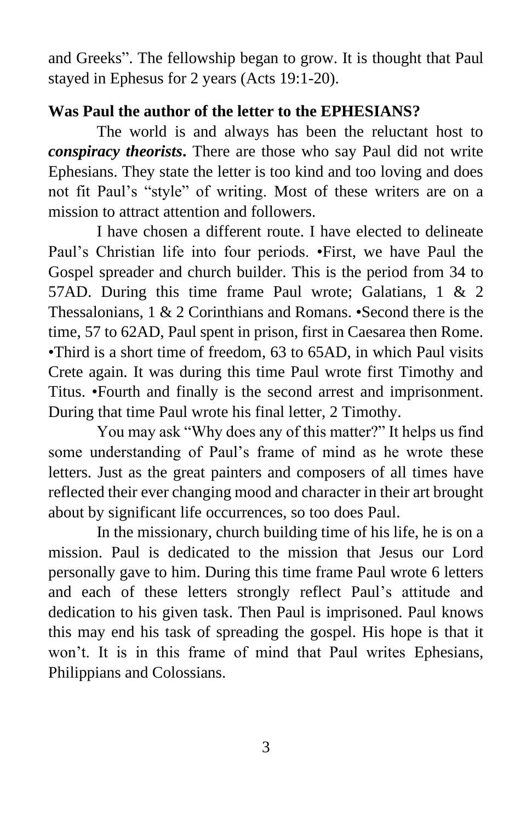and Greeks". The fellowship began to grow. It is thought that Paul stayed in Ephesus for 2 years (Acts 19:1-20).

## **Was Paul the author of the letter to the EPHESIANS?**

The world is and always has been the reluctant host to *conspiracy theorists***.** There are those who say Paul did not write Ephesians. They state the letter is too kind and too loving and does not fit Paul's "style" of writing. Most of these writers are on a mission to attract attention and followers.

I have chosen a different route. I have elected to delineate Paul's Christian life into four periods. •First, we have Paul the Gospel spreader and church builder. This is the period from 34 to 57AD. During this time frame Paul wrote; Galatians, 1 & 2 Thessalonians, 1 & 2 Corinthians and Romans. •Second there is the time, 57 to 62AD, Paul spent in prison, first in Caesarea then Rome. •Third is a short time of freedom, 63 to 65AD, in which Paul visits Crete again. It was during this time Paul wrote first Timothy and Titus. •Fourth and finally is the second arrest and imprisonment. During that time Paul wrote his final letter, 2 Timothy.

You may ask "Why does any of this matter?" It helps us find some understanding of Paul's frame of mind as he wrote these letters. Just as the great painters and composers of all times have reflected their ever changing mood and character in their art brought about by significant life occurrences, so too does Paul.

In the missionary, church building time of his life, he is on a mission. Paul is dedicated to the mission that Jesus our Lord personally gave to him. During this time frame Paul wrote 6 letters and each of these letters strongly reflect Paul's attitude and dedication to his given task. Then Paul is imprisoned. Paul knows this may end his task of spreading the gospel. His hope is that it won't. It is in this frame of mind that Paul writes Ephesians, Philippians and Colossians.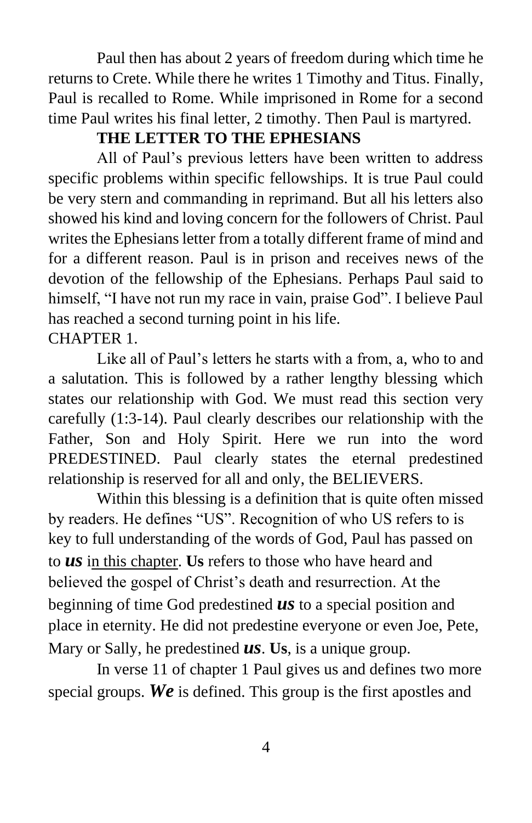Paul then has about 2 years of freedom during which time he returns to Crete. While there he writes 1 Timothy and Titus. Finally, Paul is recalled to Rome. While imprisoned in Rome for a second time Paul writes his final letter, 2 timothy. Then Paul is martyred.

## **THE LETTER TO THE EPHESIANS**

All of Paul's previous letters have been written to address specific problems within specific fellowships. It is true Paul could be very stern and commanding in reprimand. But all his letters also showed his kind and loving concern for the followers of Christ. Paul writes the Ephesians letter from a totally different frame of mind and for a different reason. Paul is in prison and receives news of the devotion of the fellowship of the Ephesians. Perhaps Paul said to himself, "I have not run my race in vain, praise God". I believe Paul has reached a second turning point in his life. CHAPTER 1.

Like all of Paul's letters he starts with a from, a, who to and a salutation. This is followed by a rather lengthy blessing which states our relationship with God. We must read this section very carefully (1:3-14). Paul clearly describes our relationship with the Father, Son and Holy Spirit. Here we run into the word PREDESTINED. Paul clearly states the eternal predestined relationship is reserved for all and only, the BELIEVERS.

Within this blessing is a definition that is quite often missed by readers. He defines "US". Recognition of who US refers to is key to full understanding of the words of God, Paul has passed on to *us* in this chapter. **Us** refers to those who have heard and believed the gospel of Christ's death and resurrection. At the beginning of time God predestined *us* to a special position and place in eternity. He did not predestine everyone or even Joe, Pete, Mary or Sally, he predestined *us*. **Us**, is a unique group.

In verse 11 of chapter 1 Paul gives us and defines two more special groups. *We* is defined. This group is the first apostles and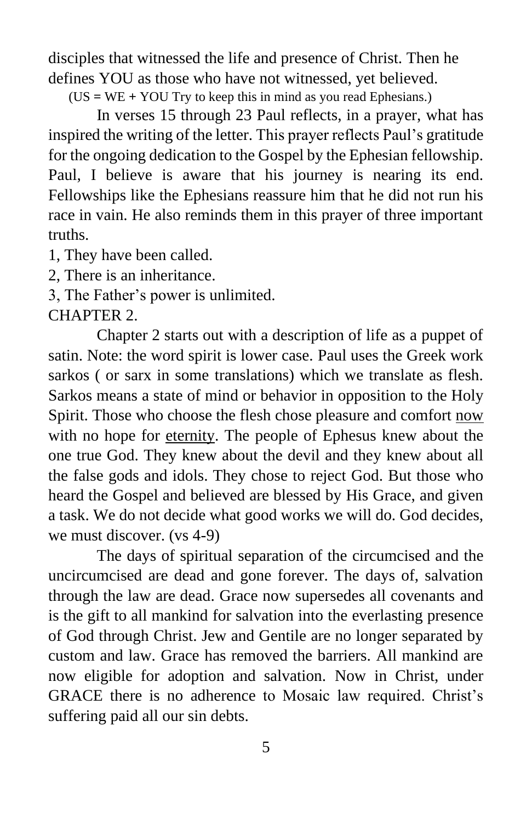disciples that witnessed the life and presence of Christ. Then he defines YOU as those who have not witnessed, yet believed.

(US **=** WE **+** YOU Try to keep this in mind as you read Ephesians.)

In verses 15 through 23 Paul reflects, in a prayer, what has inspired the writing of the letter. This prayer reflects Paul's gratitude for the ongoing dedication to the Gospel by the Ephesian fellowship. Paul, I believe is aware that his journey is nearing its end. Fellowships like the Ephesians reassure him that he did not run his race in vain. He also reminds them in this prayer of three important truths.

1, They have been called.

2, There is an inheritance.

3, The Father's power is unlimited.

## CHAPTER 2.

Chapter 2 starts out with a description of life as a puppet of satin. Note: the word spirit is lower case. Paul uses the Greek work sarkos ( or sarx in some translations) which we translate as flesh. Sarkos means a state of mind or behavior in opposition to the Holy Spirit. Those who choose the flesh chose pleasure and comfort now with no hope for eternity. The people of Ephesus knew about the one true God. They knew about the devil and they knew about all the false gods and idols. They chose to reject God. But those who heard the Gospel and believed are blessed by His Grace, and given a task. We do not decide what good works we will do. God decides, we must discover. (vs 4-9)

The days of spiritual separation of the circumcised and the uncircumcised are dead and gone forever. The days of, salvation through the law are dead. Grace now supersedes all covenants and is the gift to all mankind for salvation into the everlasting presence of God through Christ. Jew and Gentile are no longer separated by custom and law. Grace has removed the barriers. All mankind are now eligible for adoption and salvation. Now in Christ, under GRACE there is no adherence to Mosaic law required. Christ's suffering paid all our sin debts.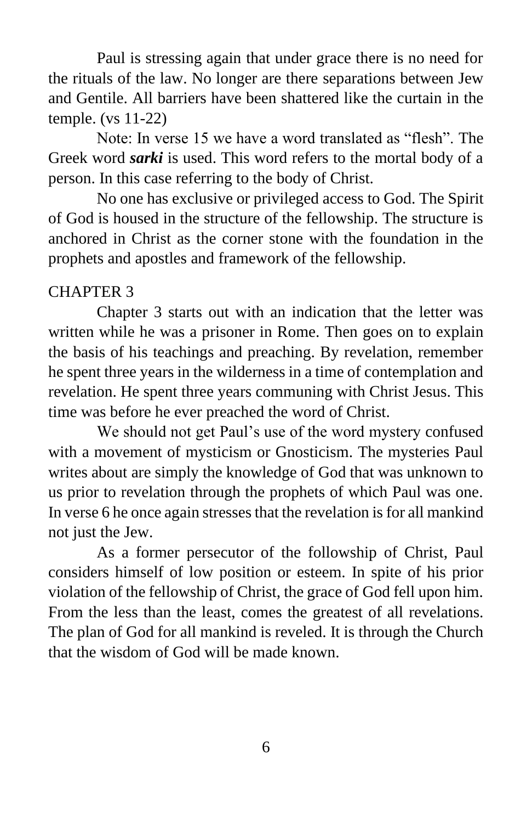Paul is stressing again that under grace there is no need for the rituals of the law. No longer are there separations between Jew and Gentile. All barriers have been shattered like the curtain in the temple. (vs 11-22)

Note: In verse 15 we have a word translated as "flesh". The Greek word *sarki* is used. This word refers to the mortal body of a person. In this case referring to the body of Christ.

No one has exclusive or privileged access to God. The Spirit of God is housed in the structure of the fellowship. The structure is anchored in Christ as the corner stone with the foundation in the prophets and apostles and framework of the fellowship.

## CHAPTER 3

Chapter 3 starts out with an indication that the letter was written while he was a prisoner in Rome. Then goes on to explain the basis of his teachings and preaching. By revelation, remember he spent three years in the wilderness in a time of contemplation and revelation. He spent three years communing with Christ Jesus. This time was before he ever preached the word of Christ.

We should not get Paul's use of the word mystery confused with a movement of mysticism or Gnosticism. The mysteries Paul writes about are simply the knowledge of God that was unknown to us prior to revelation through the prophets of which Paul was one. In verse 6 he once again stresses that the revelation is for all mankind not just the Jew.

As a former persecutor of the followship of Christ, Paul considers himself of low position or esteem. In spite of his prior violation of the fellowship of Christ, the grace of God fell upon him. From the less than the least, comes the greatest of all revelations. The plan of God for all mankind is reveled. It is through the Church that the wisdom of God will be made known.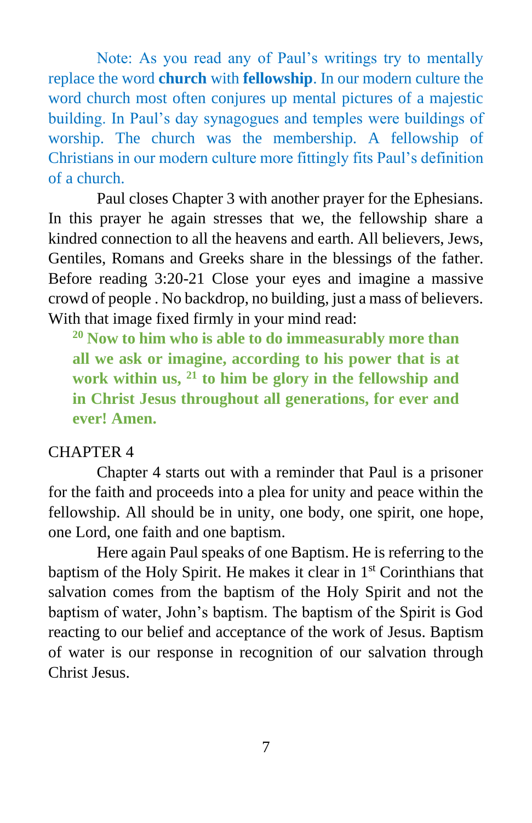Note: As you read any of Paul's writings try to mentally replace the word **church** with **fellowship**. In our modern culture the word church most often conjures up mental pictures of a majestic building. In Paul's day synagogues and temples were buildings of worship. The church was the membership. A fellowship of Christians in our modern culture more fittingly fits Paul's definition of a church.

Paul closes Chapter 3 with another prayer for the Ephesians. In this prayer he again stresses that we, the fellowship share a kindred connection to all the heavens and earth. All believers, Jews, Gentiles, Romans and Greeks share in the blessings of the father. Before reading 3:20-21 Close your eyes and imagine a massive crowd of people . No backdrop, no building, just a mass of believers. With that image fixed firmly in your mind read:

**<sup>20</sup> Now to him who is able to do immeasurably more than all we ask or imagine, according to his power that is at work within us, <sup>21</sup> to him be glory in the fellowship and in Christ Jesus throughout all generations, for ever and ever! Amen.**

#### CHAPTER 4

Chapter 4 starts out with a reminder that Paul is a prisoner for the faith and proceeds into a plea for unity and peace within the fellowship. All should be in unity, one body, one spirit, one hope, one Lord, one faith and one baptism.

Here again Paul speaks of one Baptism. He is referring to the baptism of the Holy Spirit. He makes it clear in 1<sup>st</sup> Corinthians that salvation comes from the baptism of the Holy Spirit and not the baptism of water, John's baptism. The baptism of the Spirit is God reacting to our belief and acceptance of the work of Jesus. Baptism of water is our response in recognition of our salvation through Christ Jesus.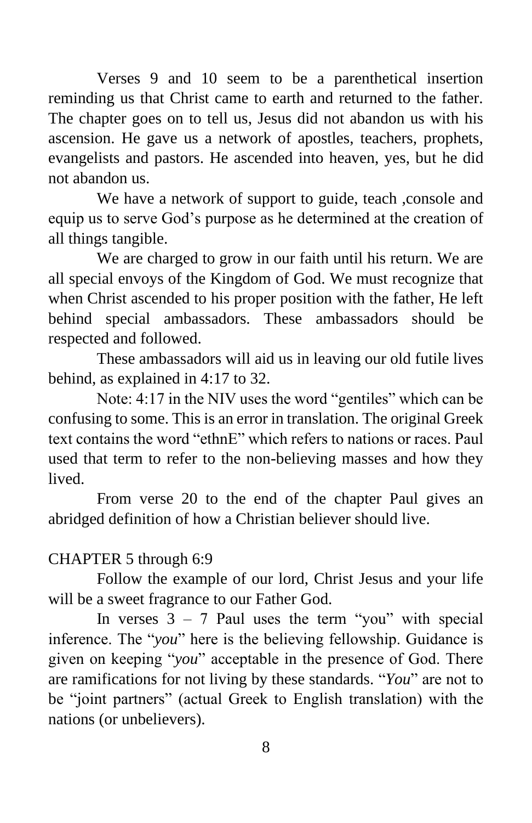Verses 9 and 10 seem to be a parenthetical insertion reminding us that Christ came to earth and returned to the father. The chapter goes on to tell us, Jesus did not abandon us with his ascension. He gave us a network of apostles, teachers, prophets, evangelists and pastors. He ascended into heaven, yes, but he did not abandon us.

We have a network of support to guide, teach, console and equip us to serve God's purpose as he determined at the creation of all things tangible.

We are charged to grow in our faith until his return. We are all special envoys of the Kingdom of God. We must recognize that when Christ ascended to his proper position with the father, He left behind special ambassadors. These ambassadors should be respected and followed.

These ambassadors will aid us in leaving our old futile lives behind, as explained in 4:17 to 32.

Note: 4:17 in the NIV uses the word "gentiles" which can be confusing to some. This is an error in translation. The original Greek text contains the word "ethnE" which refers to nations or races. Paul used that term to refer to the non-believing masses and how they lived.

From verse 20 to the end of the chapter Paul gives an abridged definition of how a Christian believer should live.

## CHAPTER 5 through 6:9

Follow the example of our lord, Christ Jesus and your life will be a sweet fragrance to our Father God.

In verses  $3 - 7$  Paul uses the term "you" with special inference. The "*you*" here is the believing fellowship. Guidance is given on keeping "*you*" acceptable in the presence of God. There are ramifications for not living by these standards. "*You*" are not to be "joint partners" (actual Greek to English translation) with the nations (or unbelievers).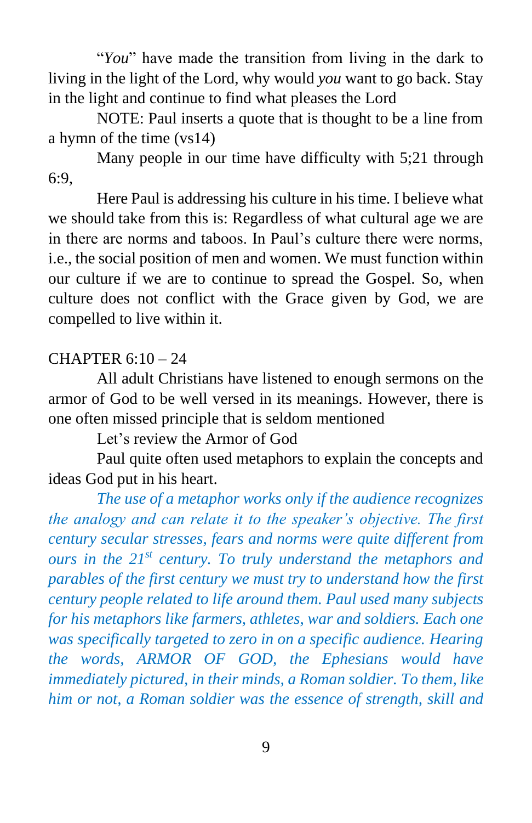"*You*" have made the transition from living in the dark to living in the light of the Lord, why would *you* want to go back. Stay in the light and continue to find what pleases the Lord

NOTE: Paul inserts a quote that is thought to be a line from a hymn of the time (vs14)

Many people in our time have difficulty with 5;21 through 6:9,

Here Paul is addressing his culture in his time. I believe what we should take from this is: Regardless of what cultural age we are in there are norms and taboos. In Paul's culture there were norms, i.e., the social position of men and women. We must function within our culture if we are to continue to spread the Gospel. So, when culture does not conflict with the Grace given by God, we are compelled to live within it.

## CHAPTER 6:10 – 24

All adult Christians have listened to enough sermons on the armor of God to be well versed in its meanings. However, there is one often missed principle that is seldom mentioned

Let's review the Armor of God

Paul quite often used metaphors to explain the concepts and ideas God put in his heart.

*The use of a metaphor works only if the audience recognizes the analogy and can relate it to the speaker's objective. The first century secular stresses, fears and norms were quite different from ours in the 21st century. To truly understand the metaphors and parables of the first century we must try to understand how the first century people related to life around them. Paul used many subjects for his metaphors like farmers, athletes, war and soldiers. Each one was specifically targeted to zero in on a specific audience. Hearing the words, ARMOR OF GOD, the Ephesians would have immediately pictured, in their minds, a Roman soldier. To them, like him or not, a Roman soldier was the essence of strength, skill and*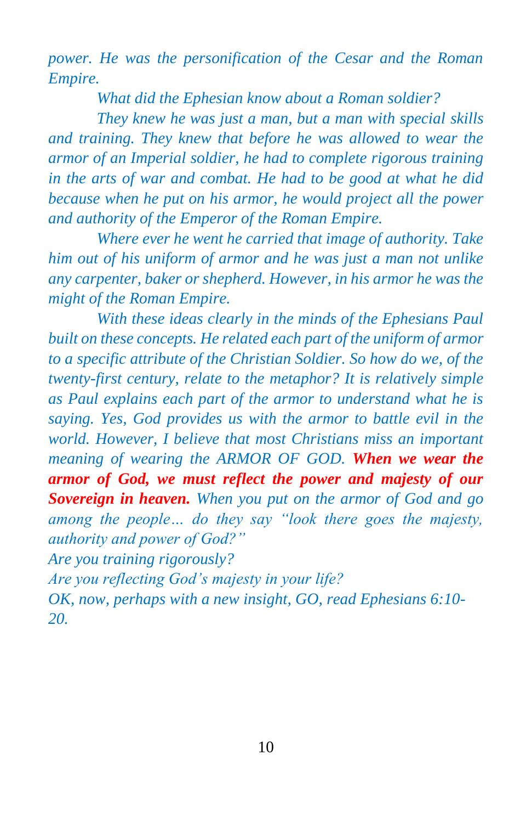*power. He was the personification of the Cesar and the Roman Empire.*

*What did the Ephesian know about a Roman soldier?* 

*They knew he was just a man, but a man with special skills and training. They knew that before he was allowed to wear the armor of an Imperial soldier, he had to complete rigorous training in the arts of war and combat. He had to be good at what he did because when he put on his armor, he would project all the power and authority of the Emperor of the Roman Empire.* 

*Where ever he went he carried that image of authority. Take him out of his uniform of armor and he was just a man not unlike any carpenter, baker or shepherd. However, in his armor he was the might of the Roman Empire.*

*With these ideas clearly in the minds of the Ephesians Paul built on these concepts. He related each part of the uniform of armor to a specific attribute of the Christian Soldier. So how do we, of the twenty-first century, relate to the metaphor? It is relatively simple as Paul explains each part of the armor to understand what he is saying. Yes, God provides us with the armor to battle evil in the world. However, I believe that most Christians miss an important meaning of wearing the ARMOR OF GOD. When we wear the armor of God, we must reflect the power and majesty of our Sovereign in heaven. When you put on the armor of God and go among the people… do they say "look there goes the majesty, authority and power of God?"*

*Are you training rigorously?*

*Are you reflecting God's majesty in your life?*

*OK, now, perhaps with a new insight, GO, read Ephesians 6:10- 20.*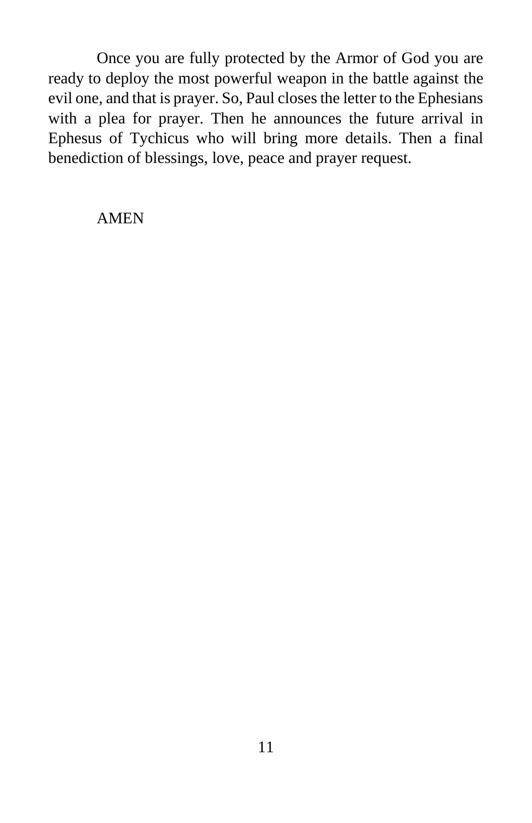Once you are fully protected by the Armor of God you are ready to deploy the most powerful weapon in the battle against the evil one, and that is prayer. So, Paul closes the letter to the Ephesians with a plea for prayer. Then he announces the future arrival in Ephesus of Tychicus who will bring more details. Then a final benediction of blessings, love, peace and prayer request.

#### AMEN